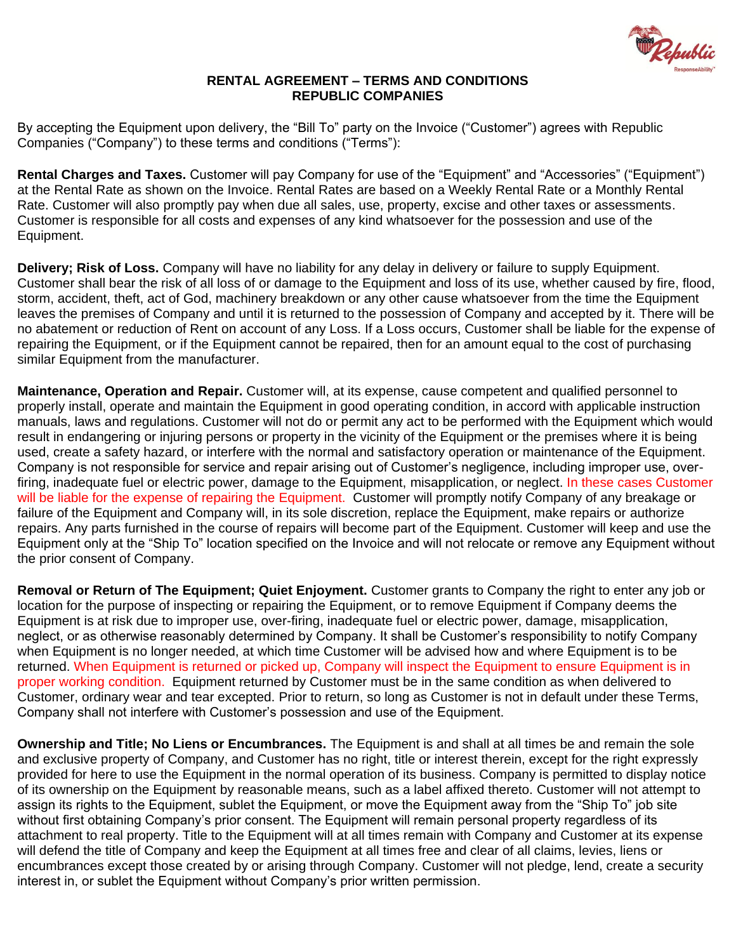

# **RENTAL AGREEMENT – TERMS AND CONDITIONS REPUBLIC COMPANIES**

By accepting the Equipment upon delivery, the "Bill To" party on the Invoice ("Customer") agrees with Republic Companies ("Company") to these terms and conditions ("Terms"):

**Rental Charges and Taxes.** Customer will pay Company for use of the "Equipment" and "Accessories" ("Equipment") at the Rental Rate as shown on the Invoice. Rental Rates are based on a Weekly Rental Rate or a Monthly Rental Rate. Customer will also promptly pay when due all sales, use, property, excise and other taxes or assessments. Customer is responsible for all costs and expenses of any kind whatsoever for the possession and use of the Equipment.

**Delivery; Risk of Loss.** Company will have no liability for any delay in delivery or failure to supply Equipment. Customer shall bear the risk of all loss of or damage to the Equipment and loss of its use, whether caused by fire, flood, storm, accident, theft, act of God, machinery breakdown or any other cause whatsoever from the time the Equipment leaves the premises of Company and until it is returned to the possession of Company and accepted by it. There will be no abatement or reduction of Rent on account of any Loss. If a Loss occurs, Customer shall be liable for the expense of repairing the Equipment, or if the Equipment cannot be repaired, then for an amount equal to the cost of purchasing similar Equipment from the manufacturer.

**Maintenance, Operation and Repair.** Customer will, at its expense, cause competent and qualified personnel to properly install, operate and maintain the Equipment in good operating condition, in accord with applicable instruction manuals, laws and regulations. Customer will not do or permit any act to be performed with the Equipment which would result in endangering or injuring persons or property in the vicinity of the Equipment or the premises where it is being used, create a safety hazard, or interfere with the normal and satisfactory operation or maintenance of the Equipment. Company is not responsible for service and repair arising out of Customer's negligence, including improper use, overfiring, inadequate fuel or electric power, damage to the Equipment, misapplication, or neglect. In these cases Customer will be liable for the expense of repairing the Equipment. Customer will promptly notify Company of any breakage or failure of the Equipment and Company will, in its sole discretion, replace the Equipment, make repairs or authorize repairs. Any parts furnished in the course of repairs will become part of the Equipment. Customer will keep and use the Equipment only at the "Ship To" location specified on the Invoice and will not relocate or remove any Equipment without the prior consent of Company.

**Removal or Return of The Equipment; Quiet Enjoyment.** Customer grants to Company the right to enter any job or location for the purpose of inspecting or repairing the Equipment, or to remove Equipment if Company deems the Equipment is at risk due to improper use, over-firing, inadequate fuel or electric power, damage, misapplication, neglect, or as otherwise reasonably determined by Company. It shall be Customer's responsibility to notify Company when Equipment is no longer needed, at which time Customer will be advised how and where Equipment is to be returned. When Equipment is returned or picked up, Company will inspect the Equipment to ensure Equipment is in proper working condition. Equipment returned by Customer must be in the same condition as when delivered to Customer, ordinary wear and tear excepted. Prior to return, so long as Customer is not in default under these Terms, Company shall not interfere with Customer's possession and use of the Equipment.

**Ownership and Title; No Liens or Encumbrances.** The Equipment is and shall at all times be and remain the sole and exclusive property of Company, and Customer has no right, title or interest therein, except for the right expressly provided for here to use the Equipment in the normal operation of its business. Company is permitted to display notice of its ownership on the Equipment by reasonable means, such as a label affixed thereto. Customer will not attempt to assign its rights to the Equipment, sublet the Equipment, or move the Equipment away from the "Ship To" job site without first obtaining Company's prior consent. The Equipment will remain personal property regardless of its attachment to real property. Title to the Equipment will at all times remain with Company and Customer at its expense will defend the title of Company and keep the Equipment at all times free and clear of all claims, levies, liens or encumbrances except those created by or arising through Company. Customer will not pledge, lend, create a security interest in, or sublet the Equipment without Company's prior written permission.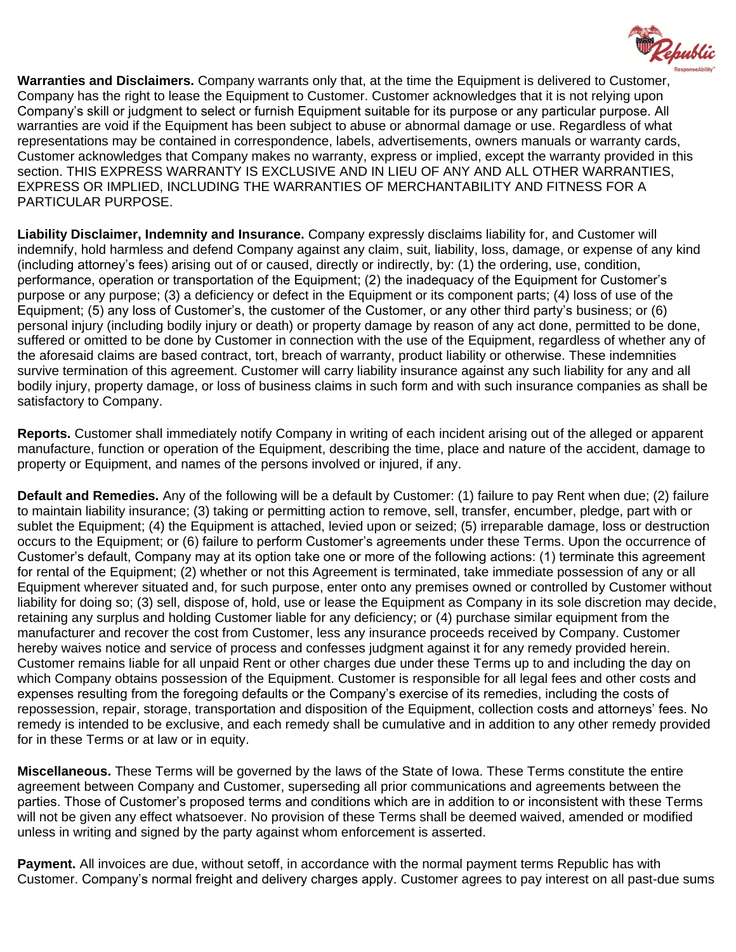

**Warranties and Disclaimers.** Company warrants only that, at the time the Equipment is delivered to Customer, Company has the right to lease the Equipment to Customer. Customer acknowledges that it is not relying upon Company's skill or judgment to select or furnish Equipment suitable for its purpose or any particular purpose. All warranties are void if the Equipment has been subject to abuse or abnormal damage or use. Regardless of what representations may be contained in correspondence, labels, advertisements, owners manuals or warranty cards, Customer acknowledges that Company makes no warranty, express or implied, except the warranty provided in this section. THIS EXPRESS WARRANTY IS EXCLUSIVE AND IN LIEU OF ANY AND ALL OTHER WARRANTIES, EXPRESS OR IMPLIED, INCLUDING THE WARRANTIES OF MERCHANTABILITY AND FITNESS FOR A PARTICULAR PURPOSE.

**Liability Disclaimer, Indemnity and Insurance.** Company expressly disclaims liability for, and Customer will indemnify, hold harmless and defend Company against any claim, suit, liability, loss, damage, or expense of any kind (including attorney's fees) arising out of or caused, directly or indirectly, by: (1) the ordering, use, condition, performance, operation or transportation of the Equipment; (2) the inadequacy of the Equipment for Customer's purpose or any purpose; (3) a deficiency or defect in the Equipment or its component parts; (4) loss of use of the Equipment; (5) any loss of Customer's, the customer of the Customer, or any other third party's business; or (6) personal injury (including bodily injury or death) or property damage by reason of any act done, permitted to be done, suffered or omitted to be done by Customer in connection with the use of the Equipment, regardless of whether any of the aforesaid claims are based contract, tort, breach of warranty, product liability or otherwise. These indemnities survive termination of this agreement. Customer will carry liability insurance against any such liability for any and all bodily injury, property damage, or loss of business claims in such form and with such insurance companies as shall be satisfactory to Company.

**Reports.** Customer shall immediately notify Company in writing of each incident arising out of the alleged or apparent manufacture, function or operation of the Equipment, describing the time, place and nature of the accident, damage to property or Equipment, and names of the persons involved or injured, if any.

**Default and Remedies.** Any of the following will be a default by Customer: (1) failure to pay Rent when due; (2) failure to maintain liability insurance; (3) taking or permitting action to remove, sell, transfer, encumber, pledge, part with or sublet the Equipment; (4) the Equipment is attached, levied upon or seized; (5) irreparable damage, loss or destruction occurs to the Equipment; or (6) failure to perform Customer's agreements under these Terms. Upon the occurrence of Customer's default, Company may at its option take one or more of the following actions: (1) terminate this agreement for rental of the Equipment; (2) whether or not this Agreement is terminated, take immediate possession of any or all Equipment wherever situated and, for such purpose, enter onto any premises owned or controlled by Customer without liability for doing so; (3) sell, dispose of, hold, use or lease the Equipment as Company in its sole discretion may decide, retaining any surplus and holding Customer liable for any deficiency; or (4) purchase similar equipment from the manufacturer and recover the cost from Customer, less any insurance proceeds received by Company. Customer hereby waives notice and service of process and confesses judgment against it for any remedy provided herein. Customer remains liable for all unpaid Rent or other charges due under these Terms up to and including the day on which Company obtains possession of the Equipment. Customer is responsible for all legal fees and other costs and expenses resulting from the foregoing defaults or the Company's exercise of its remedies, including the costs of repossession, repair, storage, transportation and disposition of the Equipment, collection costs and attorneys' fees. No remedy is intended to be exclusive, and each remedy shall be cumulative and in addition to any other remedy provided for in these Terms or at law or in equity.

**Miscellaneous.** These Terms will be governed by the laws of the State of Iowa. These Terms constitute the entire agreement between Company and Customer, superseding all prior communications and agreements between the parties. Those of Customer's proposed terms and conditions which are in addition to or inconsistent with these Terms will not be given any effect whatsoever. No provision of these Terms shall be deemed waived, amended or modified unless in writing and signed by the party against whom enforcement is asserted.

**Payment.** All invoices are due, without setoff, in accordance with the normal payment terms Republic has with Customer. Company's normal freight and delivery charges apply. Customer agrees to pay interest on all past-due sums